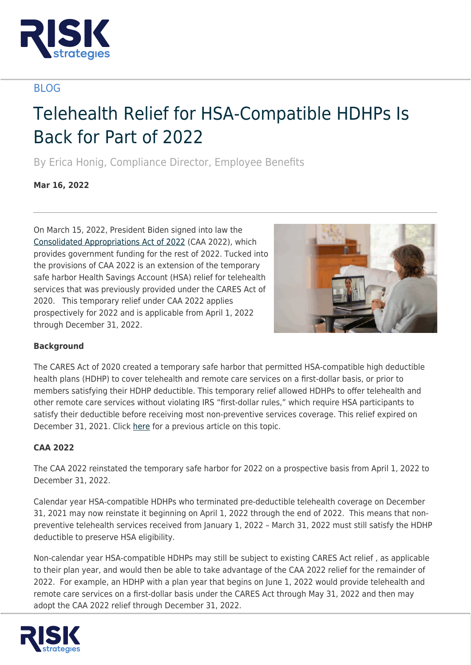

## BLOG

# Telehealth Relief for HSA-Compatible HDHPs Is Back for Part of 2022

By Erica Honig, Compliance Director, Employee Benefits

**Mar 16, 2022**

On March 15, 2022, President Biden signed into law the [Consolidated Appropriations Act of 2022](https://www.whitehouse.gov/briefing-room/legislation/2022/03/15/bill-signed-h-r-2471/) (CAA 2022), which provides government funding for the rest of 2022. Tucked into the provisions of CAA 2022 is an extension of the temporary safe harbor Health Savings Account (HSA) relief for telehealth services that was previously provided under the CARES Act of 2020. This temporary relief under CAA 2022 applies prospectively for 2022 and is applicable from April 1, 2022 through December 31, 2022.



### **Background**

The CARES Act of 2020 created a temporary safe harbor that permitted HSA-compatible high deductible health plans (HDHP) to cover telehealth and remote care services on a first-dollar basis, or prior to members satisfying their HDHP deductible. This temporary relief allowed HDHPs to offer telehealth and other remote care services without violating IRS "first-dollar rules," which require HSA participants to satisfy their deductible before receiving most non-preventive services coverage. This relief expired on December 31, 2021. Click [here](https://www.risk-strategies.com/knowledge-center/article/telehealth-relief-for-hsa-compatible-hdhps-to-expire) for a previous article on this topic.

### **CAA 2022**

The CAA 2022 reinstated the temporary safe harbor for 2022 on a prospective basis from April 1, 2022 to December 31, 2022.

Calendar year HSA-compatible HDHPs who terminated pre-deductible telehealth coverage on December 31, 2021 may now reinstate it beginning on April 1, 2022 through the end of 2022. This means that nonpreventive telehealth services received from January 1, 2022 – March 31, 2022 must still satisfy the HDHP deductible to preserve HSA eligibility.

Non-calendar year HSA-compatible HDHPs may still be subject to existing CARES Act relief , as applicable to their plan year, and would then be able to take advantage of the CAA 2022 relief for the remainder of 2022. For example, an HDHP with a plan year that begins on June 1, 2022 would provide telehealth and remote care services on a first-dollar basis under the CARES Act through May 31, 2022 and then may adopt the CAA 2022 relief through December 31, 2022.